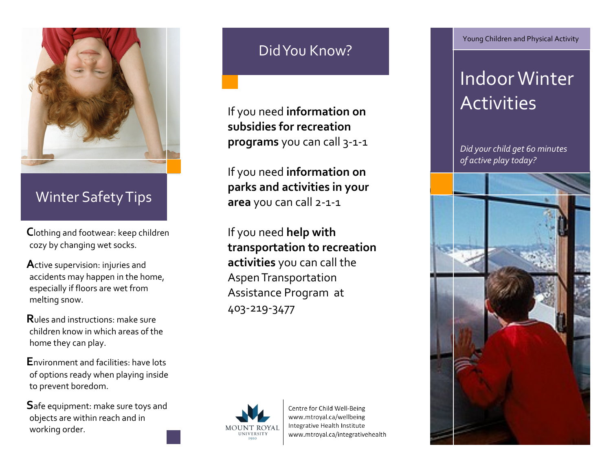

## Winter Safety Tips

**C**lothing and footwear: keep children cozy by changing wet socks.

**A**ctive supervision: injuries and accidents may happen in the home, especially if floors are wet from melting snow.

**R**ules and instructions: make sure children know in which areas of the home they can play.

**E**nvironment and facilities: have lots of options ready when playing inside to prevent boredom.

**S**afe equipment: make sure toys and objects are within reach and in working order.

# Did You Know?

If you need **information on subsidies for recreation programs** you can call 3-1-1

If you need **information on parks and activities in your area** you can call 2-1-1

If you need **help with transportation to recreation activities** you can call the Aspen Transportation Assistance Program at 403-219-3477



Centre for Child Well-Being www.mtroyal.ca/wellbeing Integrative Health Institute www.mtroyal.ca/integrativehealth Young Children and Physical Activity

# Indoor Winter **Activities**

*Did your child get 60 minutes of active play today?*